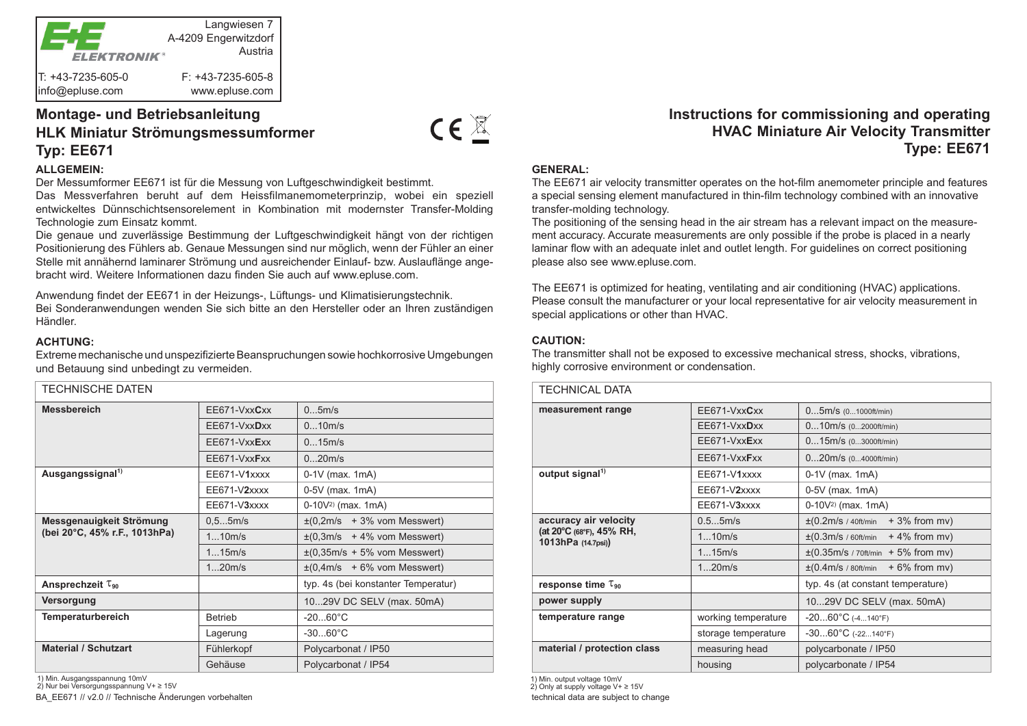

# **Montage- und Betriebsanleitung HLK Miniatur Strömungsmessumformer Typ: EE671**

### **ALLGEMEIN:**

Der Messumformer EE671 ist für die Messung von Luftgeschwindigkeit bestimmt.

Das Messverfahren beruht auf dem Heissfilmanemometerprinzip, wobei ein speziell entwickeltes Dünnschichtsensorelement in Kombination mit modernster Transfer-Molding Technologie zum Einsatz kommt.

Die genaue und zuverlässige Bestimmung der Luftgeschwindigkeit hängt von der richtigen Positionierung des Fühlers ab. Genaue Messungen sind nur möglich, wenn der Fühler an einer Stelle mit annähernd laminarer Strömung und ausreichender Einlauf- bzw. Auslauflänge angebracht wird. Weitere Informationen dazu finden Sie auch auf www.epluse.com.

Anwendung findet der EE671 in der Heizungs-, Lüftungs- und Klimatisierungstechnik. Bei Sonderanwendungen wenden Sie sich bitte an den Hersteller oder an Ihren zuständigen Händler.

#### **ACHTUNG:**

Extreme mechanische und unspezifizierte Beanspruchungen sowie hochkorrosive Umgebungen und Betauung sind unbedingt zu vermeiden.

| TECHNISCHE DATEN                                          |                |                                                   |
|-----------------------------------------------------------|----------------|---------------------------------------------------|
| <b>Messbereich</b>                                        | EE671-VxxCxx   | 05m/s                                             |
|                                                           | EE671-VxxDxx   | 010m/s                                            |
|                                                           | EE671-VxxExx   | 015m/s                                            |
|                                                           | EE671-VxxFxx   | 020m/s                                            |
| Ausgangssignal <sup>1)</sup>                              | EE671-V1xxxx   | $0-1V$ (max. 1mA)                                 |
|                                                           | EE671-V2xxxx   | 0-5V (max. 1mA)                                   |
|                                                           | EE671-V3xxxx   | $0-10V2$ (max. 1mA)                               |
| Messgenauigkeit Strömung<br>(bei 20°C, 45% r.F., 1013hPa) | 0.55m/s        | $\pm (0,2m/s + 3\%$ vom Messwert)                 |
|                                                           | 110m/s         | $\pm(0,3m/s + 4\%$ vom Messwert)                  |
|                                                           | 115m/s         | $\pm(0,35\text{m/s} + 5\% \text{ vom Messwert})$  |
|                                                           | 120m/s         | $\pm (0.4 \text{m/s} + 6\% \text{ vom Messwert})$ |
| Ansprechzeit $\tau_{90}$                                  |                | typ. 4s (bei konstanter Temperatur)               |
| Versorgung                                                |                | 1029V DC SELV (max. 50mA)                         |
| <b>Temperaturbereich</b>                                  | <b>Betrieb</b> | $-2060^{\circ}$ C                                 |
|                                                           | Lagerung       | $-3060^{\circ}C$                                  |
| <b>Material / Schutzart</b>                               | Fühlerkopf     | Polycarbonat / IP50                               |
|                                                           | Gehäuse        | Polycarbonat / IP54                               |

1) Min. Ausgangsspannung 10mV

BA\_EE671 // v2.0 // Technische Änderungen vorbehalten 2) Nur bei Versorgungsspannung V+ ≥ 15V 1) Min. output voltage 10mV

## **Instructions for commissioning and operating HVAC Miniature Air Velocity Transmitter Type: EE671**

## **GENERAL:**

 $CE^{\mathbb{X}}$ 

The EE671 air velocity transmitter operates on the hot-film anemometer principle and features a special sensing element manufactured in thin-film technology combined with an innovative transfer-molding technology.

The positioning of the sensing head in the air stream has a relevant impact on the measurement accuracy. Accurate measurements are only possible if the probe is placed in a nearly laminar flow with an adequate inlet and outlet length. For guidelines on correct positioning please also see www.epluse.com.

The EE671 is optimized for heating, ventilating and air conditioning (HVAC) applications. Please consult the manufacturer or your local representative for air velocity measurement in special applications or other than HVAC.

## **CAUTION:**

The transmitter shall not be exposed to excessive mechanical stress, shocks, vibrations, highly corrosive environment or condensation.

| <b>TECHNICAL DATA</b>                                                  |                     |                                                                  |
|------------------------------------------------------------------------|---------------------|------------------------------------------------------------------|
| measurement range                                                      | EE671-VxxCxx        | $05m/s$ (01000ft/min)                                            |
|                                                                        | EE671-VxxDxx        | $010m/s$ (02000ft/min)                                           |
|                                                                        | EE671-VxxExx        | $015m/s$ (03000ft/min)                                           |
|                                                                        | EE671-VxxFxx        | $020m/s$ (04000ft/min)                                           |
| output signal <sup>1)</sup>                                            | EE671-V1xxxx        | $0-1V$ (max. 1mA)                                                |
|                                                                        | $EE671-V2xxxx$      | 0-5V (max. 1mA)                                                  |
|                                                                        | $EE671-V3xxxx$      | $0-10V2$ (max. 1mA)                                              |
| accuracy air velocity<br>(at 20°C (68°F), 45% RH,<br>1013hPa (14.7psi) | 0.55m/s             | $\pm$ (0.2m/s / 40ft/min<br>$+3\%$ from mv)                      |
|                                                                        | 110m/s              | $\pm$ (0.3m/s / 60ft/min<br>$+4\%$ from mv)                      |
|                                                                        | 115m/s              | $\pm (0.35 \text{m/s} / 70 \text{ft/min} + 5\% \text{ from mv})$ |
|                                                                        | 120m/s              | $\pm (0.4 \text{m/s}$ / 80ft/min<br>$+6\%$ from mv)              |
| response time $\tau_{90}$                                              |                     | typ. 4s (at constant temperature)                                |
| power supply                                                           |                     | 1029V DC SELV (max. 50mA)                                        |
| temperature range                                                      | working temperature | $-2060^{\circ}$ C (-4140°F)                                      |
|                                                                        | storage temperature | $-3060^{\circ}C$ (-22140°F)                                      |
| material / protection class                                            | measuring head      | polycarbonate / IP50                                             |
|                                                                        | housing             | polycarbonate / IP54                                             |

2) Only at supply voltage V+ ≥ 15V

technical data are subject to change